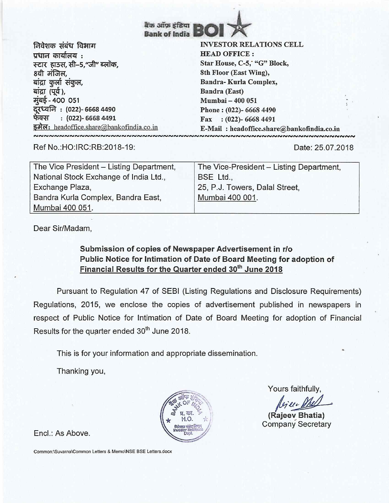**ttils gstom lauiplik. Bank of India** 

*निवेशक संबंध विभाग* प्रधान कार्यालय : स्टार हाउस, सी–5,"जी" ब्लॉक, 8वी मंजिल, बांद्रा कर्ला संकुल, बांद्रा (पूर्व ), **diei - 400 051 71.4," : (022)- 6668 4490 4>4-ti : (022)- 6668 4491**  इमेल: headoffice.share@bankofindia.co.in **VNNNNNNNNNNNNNNNNNN** 

## **INVESTOR RELATIONS CELL HEAD OFFICE : Star House, C-5; "G" Block, 8th Floor (East Wing), Bandra- Kurla Complex, Bandra (East) Mumbai — 400 051 Phone : (022)- 6668 4490 Fax : (022)- 6668 4491**

**E-Mail : headoffice.share@bankofindia.co.in** 

Ref No.:HO:IRC:RB:2018-19: Date: 25.07.2018

| The Vice President – Listing Department, | The Vice-President - Listing Department, |  |
|------------------------------------------|------------------------------------------|--|
| National Stock Exchange of India Ltd.,   | BSE Ltd.,                                |  |
| Exchange Plaza,                          | 25, P.J. Towers, Dalal Street.           |  |
| Bandra Kurla Complex, Bandra East,       | Mumbai 400 001.                          |  |
| Mumbai 400 051.                          |                                          |  |

Dear Sir/Madam,

## **Submission of copies of Newspaper Advertisement in r/o Public Notice for Intimation of Date of Board Meeting for adoption of Financial Results for the Quarter ended 30<sup>th</sup> June 2018**

Pursuant to Regulation 47 of SEBI (Listing Regulations and Disclosure Requirements) Regulations, 2015, we enclose the copies of advertisement published in newspapers in respect of Public Notice for Intimation of Date of Board Meeting for adoption of Financial Results for the quarter ended 30<sup>th</sup> June 2018.

This is for your information and appropriate dissemination.

Thanking you,



Yours faithfully,

**(Rajeev Bhatia)**  Company Secretary

Encl.: As Above.

Common:\Suvarna\Common Letters & Memo\NSE BSE Letters.docx